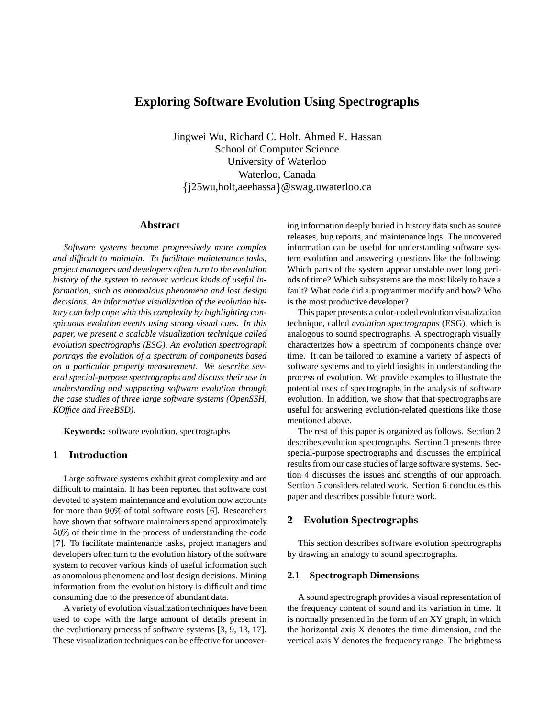# **Exploring Software Evolution Using Spectrographs**

Jingwei Wu, Richard C. Holt, Ahmed E. Hassan School of Computer Science University of Waterloo Waterloo, Canada {j25wu,holt,aeehassa}@swag.uwaterloo.ca

# **Abstract**

*Software systems become progressively more complex and difficult to maintain. To facilitate maintenance tasks, project managers and developers often turn to the evolution history of the system to recover various kinds of useful information, such as anomalous phenomena and lost design decisions. An informative visualization of the evolution history can help cope with this complexity by highlighting conspicuous evolution events using strong visual cues. In this paper, we present a scalable visualization technique called evolution spectrographs (ESG). An evolution spectrograph portrays the evolution of a spectrum of components based on a particular property measurement. We describe several special-purpose spectrographs and discuss their use in understanding and supporting software evolution through the case studies of three large software systems (OpenSSH, KOffice and FreeBSD).*

**Keywords:** software evolution, spectrographs

# **1 Introduction**

Large software systems exhibit great complexity and are difficult to maintain. It has been reported that software cost devoted to system maintenance and evolution now accounts for more than  $90\%$  of total software costs [6]. Researchers have shown that software maintainers spend approximately  $50\%$  of their time in the process of understanding the code [7]. To facilitate maintenance tasks, project managers and developers often turn to the evolution history of the software system to recover various kinds of useful information such as anomalous phenomena and lost design decisions. Mining information from the evolution history is difficult and time consuming due to the presence of abundant data.

A variety of evolution visualization techniques have been used to cope with the large amount of details present in the evolutionary process of software systems [3, 9, 13, 17]. These visualization techniques can be effective for uncovering information deeply buried in history data such as source releases, bug reports, and maintenance logs. The uncovered information can be useful for understanding software system evolution and answering questions like the following: Which parts of the system appear unstable over long periods of time? Which subsystems are the most likely to have a fault? What code did a programmer modify and how? Who is the most productive developer?

This paper presents a color-coded evolution visualization technique, called *evolution spectrographs* (ESG), which is analogous to sound spectrographs. A spectrograph visually characterizes how a spectrum of components change over time. It can be tailored to examine a variety of aspects of software systems and to yield insights in understanding the process of evolution. We provide examples to illustrate the potential uses of spectrographs in the analysis of software evolution. In addition, we show that that spectrographs are useful for answering evolution-related questions like those mentioned above.

The rest of this paper is organized as follows. Section 2 describes evolution spectrographs. Section 3 presents three special-purpose spectrographs and discusses the empirical results from our case studies of large software systems. Section 4 discusses the issues and strengths of our approach. Section 5 considers related work. Section 6 concludes this paper and describes possible future work.

### **2 Evolution Spectrographs**

This section describes software evolution spectrographs by drawing an analogy to sound spectrographs.

### **2.1 Spectrograph Dimensions**

A sound spectrograph provides a visual representation of the frequency content of sound and its variation in time. It is normally presented in the form of an XY graph, in which the horizontal axis X denotes the time dimension, and the vertical axis Y denotes the frequency range. The brightness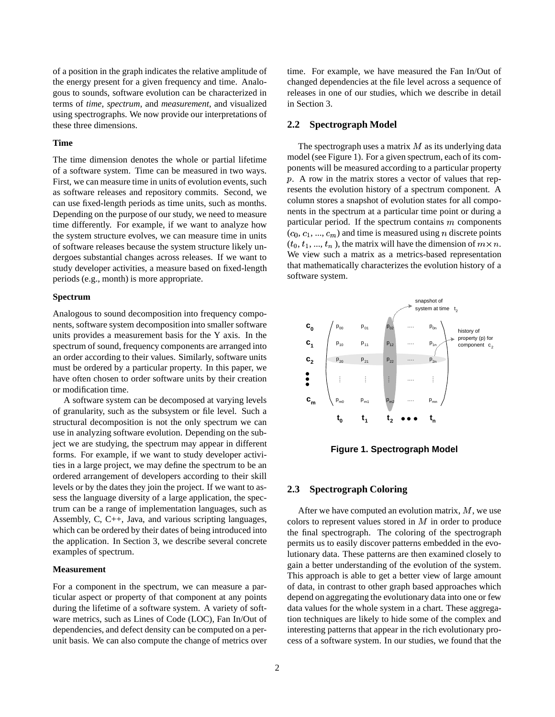of a position in the graph indicates the relative amplitude of the energy present for a given frequency and time. Analogous to sounds, software evolution can be characterized in terms of *time*, *spectrum*, and *measurement*, and visualized using spectrographs. We now provide our interpretations of these three dimensions.

#### **Time**

The time dimension denotes the whole or partial lifetime of a software system. Time can be measured in two ways. First, we can measure time in units of evolution events, such as software releases and repository commits. Second, we can use fixed-length periods as time units, such as months. Depending on the purpose of our study, we need to measure time differently. For example, if we want to analyze how the system structure evolves, we can measure time in units of software releases because the system structure likely undergoes substantial changes across releases. If we want to study developer activities, a measure based on fixed-length periods (e.g., month) is more appropriate.

### **Spectrum**

Analogous to sound decomposition into frequency components, software system decomposition into smaller software units provides a measurement basis for the Y axis. In the spectrum of sound, frequency components are arranged into an order according to their values. Similarly, software units must be ordered by a particular property. In this paper, we have often chosen to order software units by their creation or modification time.

A software system can be decomposed at varying levels of granularity, such as the subsystem or file level. Such a structural decomposition is not the only spectrum we can use in analyzing software evolution. Depending on the subject we are studying, the spectrum may appear in different forms. For example, if we want to study developer activities in a large project, we may define the spectrum to be an ordered arrangement of developers according to their skill levels or by the dates they join the project. If we want to assess the language diversity of a large application, the spectrum can be a range of implementation languages, such as Assembly, C, C++, Java, and various scripting languages, which can be ordered by their dates of being introduced into the application. In Section 3, we describe several concrete examples of spectrum.

### **Measurement**

For a component in the spectrum, we can measure a particular aspect or property of that component at any points during the lifetime of a software system. A variety of software metrics, such as Lines of Code (LOC), Fan In/Out of dependencies, and defect density can be computed on a perunit basis. We can also compute the change of metrics over time. For example, we have measured the Fan In/Out of changed dependencies at the file level across a sequence of releases in one of our studies, which we describe in detail in Section 3.

### **2.2 Spectrograph Model**

The spectrograph uses a matrix  $M$  as its underlying data model (see Figure 1). For a given spectrum, each of its components will be measured according to a particular property . A row in the matrix stores a vector of values that represents the evolution history of a spectrum component. A column stores a snapshot of evolution states for all components in the spectrum at a particular time point or during a particular period. If the spectrum contains  $m$  components  $(c_0, c_1, ..., c_m)$  and time is measured using *n* discrete points  $(t_0, t_1, ..., t_n)$ , the matrix will have the dimension of  $m \times n$ . We view such a matrix as a metrics-based representation that mathematically characterizes the evolution history of a software system.



**Figure 1. Spectrograph Model**

## **2.3 Spectrograph Coloring**

After we have computed an evolution matrix,  $M$ , we use colors to represent values stored in  $M$  in order to produce the final spectrograph. The coloring of the spectrograph permits us to easily discover patterns embedded in the evolutionary data. These patterns are then examined closely to gain a better understanding of the evolution of the system. This approach is able to get a better view of large amount of data, in contrast to other graph based approaches which depend on aggregating the evolutionary data into one or few data values for the whole system in a chart. These aggregation techniques are likely to hide some of the complex and interesting patterns that appear in the rich evolutionary process of a software system. In our studies, we found that the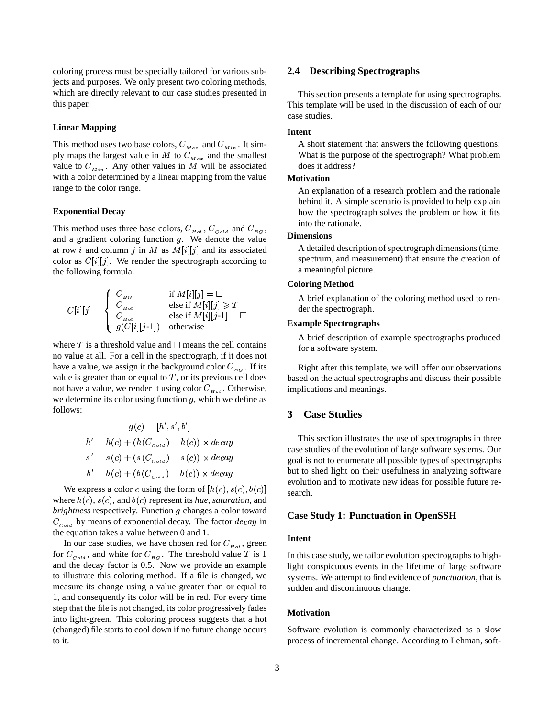coloring process must be specially tailored for various subjects and purposes. We only present two coloring methods, which are directly relevant to our case studies presented in this paper.

#### **Linear Mapping**

This method uses two base colors,  $C_{Max}$  and  $C_{Min}$ . It simply maps the largest value in M to  $C_{\text{Max}}$  and the smallest value to  $C_{Min}$ . Any other values in M will be associated with a color determined by a linear mapping from the value range to the color range.

#### **Exponential Decay**

This method uses three base colors,  $C_{H_{\text{old}}}$ ,  $C_{C_{\text{old}}}$  and  $C_{BG}$ , and a gradient coloring function  $g$ . We denote the value at row *i* and column *j* in M as  $M[i][j]$  and its associated color as  $C[i][j]$ . We render the spectrograph according to the following formula.

$$
C[i][j] = \begin{cases} C_{B G} & \text{if } M[i][j] = \square \\ C_{H o t} & \text{else if } M[i][j] \ge T \\ C_{H o t} & \text{else if } M[i][j-1] = \square \\ g(C[i][j-1]) & \text{otherwise} \end{cases}
$$

where T is a threshold value and  $\Box$  means the cell contains no value at all. For a cell in the spectrograph, if it does not have a value, we assign it the background color  $C_{B}$ . If its value is greater than or equal to  $T$ , or its previous cell does not have a value, we render it using color  $C_{H_{\text{out}}}$ . Otherwise, we determine its color using function  $q$ , which we define as follows:

$$
g(c) = [h', s', b']
$$
  
\n
$$
h' = h(c) + (h(C_{c_{old}}) - h(c)) \times decay
$$
  
\n
$$
s' = s(c) + (s(C_{c_{old}}) - s(c)) \times decay
$$
  
\n
$$
b' = b(c) + (b(C_{c_{old}}) - b(c)) \times decay
$$

We express a color c using the form of  $[h(c), s(c), b(c)]$ where  $h(c)$ ,  $s(c)$ , and  $b(c)$  represent its *hue*, *saturation*, and  $b$ *rightness* respectively. Function  $g$  changes a color toward  $C_{\text{cold}}$  by means of exponential decay. The factor  $decay$  in the equation takes a value between 0 and 1.

In our case studies, we have chosen red for  $C_{Hat}$ , green for  $C_{\text{col}}$ , and white for  $C_{\text{BG}}$ . The threshold value T is 1 and the decay factor is 0.5. Now we provide an example to illustrate this coloring method. If a file is changed, we measure its change using a value greater than or equal to 1, and consequently its color will be in red. For every time step that the file is not changed, its color progressively fades into light-green. This coloring process suggests that a hot (changed) file starts to cool down if no future change occurs to it.

### **2.4 Describing Spectrographs**

This section presents a template for using spectrographs. This template will be used in the discussion of each of our case studies.

### **Intent**

A short statement that answers the following questions: What is the purpose of the spectrograph? What problem does it address?

### **Motivation**

An explanation of a research problem and the rationale behind it. A simple scenario is provided to help explain how the spectrograph solves the problem or how it fits into the rationale.

#### **Dimensions**

A detailed description of spectrograph dimensions (time, spectrum, and measurement) that ensure the creation of a meaningful picture.

### **Coloring Method**

A brief explanation of the coloring method used to render the spectrograph.

#### **Example Spectrographs**

A brief description of example spectrographs produced for a software system.

Right after this template, we will offer our observations based on the actual spectrographs and discuss their possible implications and meanings.

# **3 Case Studies**

This section illustrates the use of spectrographs in three case studies of the evolution of large software systems. Our goal is not to enumerate all possible types of spectrographs but to shed light on their usefulness in analyzing software evolution and to motivate new ideas for possible future research.

#### **Case Study 1: Punctuation in OpenSSH**

#### **Intent**

In this case study, we tailor evolution spectrographsto highlight conspicuous events in the lifetime of large software systems. We attempt to find evidence of *punctuation*, that is sudden and discontinuous change.

#### **Motivation**

Software evolution is commonly characterized as a slow process of incremental change. According to Lehman, soft-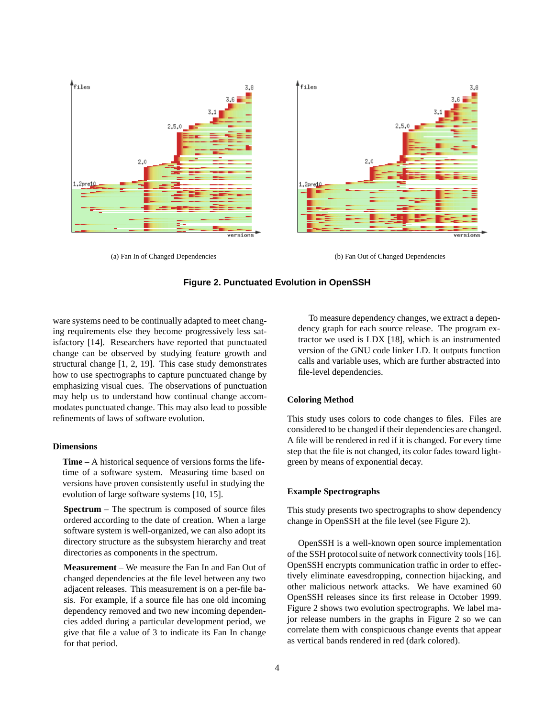

(a) Fan In of Changed Dependencies (b) Fan Out of Changed Dependencies

### **Figure 2. Punctuated Evolution in OpenSSH**

ware systems need to be continually adapted to meet changing requirements else they become progressively less satisfactory [14]. Researchers have reported that punctuated change can be observed by studying feature growth and structural change [1, 2, 19]. This case study demonstrates how to use spectrographs to capture punctuated change by emphasizing visual cues. The observations of punctuation may help us to understand how continual change accommodates punctuated change. This may also lead to possible refinements of laws of software evolution.

#### **Dimensions**

**Time** – A historical sequence of versions forms the lifetime of a software system. Measuring time based on versions have proven consistently useful in studying the evolution of large software systems [10, 15].

**Spectrum** – The spectrum is composed of source files ordered according to the date of creation. When a large software system is well-organized, we can also adopt its directory structure as the subsystem hierarchy and treat directories as components in the spectrum.

**Measurement** – We measure the Fan In and Fan Out of changed dependencies at the file level between any two adjacent releases. This measurement is on a per-file basis. For example, if a source file has one old incoming dependency removed and two new incoming dependencies added during a particular development period, we give that file a value of 3 to indicate its Fan In change for that period.

To measure dependency changes, we extract a dependency graph for each source release. The program extractor we used is LDX [18], which is an instrumented version of the GNU code linker LD. It outputs function calls and variable uses, which are further abstracted into file-level dependencies.

### **Coloring Method**

This study uses colors to code changes to files. Files are considered to be changed if their dependencies are changed. A file will be rendered in red if it is changed. For every time step that the file is not changed, its color fades toward lightgreen by means of exponential decay.

### **Example Spectrographs**

This study presents two spectrographs to show dependency change in OpenSSH at the file level (see Figure 2).

OpenSSH is a well-known open source implementation of the SSH protocol suite of network connectivity tools [16]. OpenSSH encrypts communication traffic in order to effectively eliminate eavesdropping, connection hijacking, and other malicious network attacks. We have examined 60 OpenSSH releases since its first release in October 1999. Figure 2 shows two evolution spectrographs. We label major release numbers in the graphs in Figure 2 so we can correlate them with conspicuous change events that appear as vertical bands rendered in red (dark colored).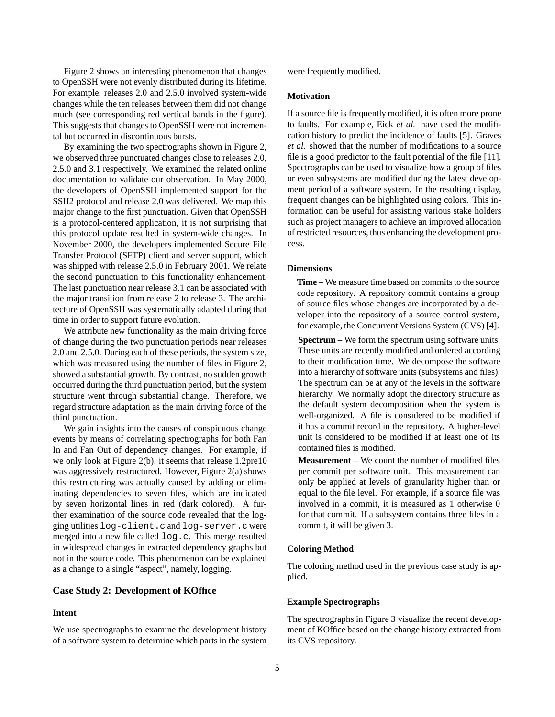Figure 2 shows an interesting phenomenon that changes to OpenSSH were not evenly distributed during its lifetime. For example, releases 2.0 and 2.5.0 involved system-wide changes while the ten releases between them did not change much (see corresponding red vertical bands in the figure). This suggests that changes to OpenSSH were not incremental but occurred in discontinuous bursts.

By examining the two spectrographs shown in Figure 2, we observed three punctuated changes close to releases 2.0, 2.5.0 and 3.1 respectively. We examined the related online documentation to validate our observation. In May 2000, the developers of OpenSSH implemented support for the SSH2 protocol and release 2.0 was delivered. We map this major change to the first punctuation. Given that OpenSSH is a protocol-centered application, it is not surprising that this protocol update resulted in system-wide changes. In November 2000, the developers implemented Secure File Transfer Protocol (SFTP) client and server support, which was shipped with release 2.5.0 in February 2001. We relate the second punctuation to this functionality enhancement. The last punctuation near release 3.1 can be associated with the major transition from release 2 to release 3. The architecture of OpenSSH was systematically adapted during that time in order to support future evolution.

We attribute new functionality as the main driving force of change during the two punctuation periods near releases 2.0 and 2.5.0. During each of these periods, the system size, which was measured using the number of files in Figure 2, showed a substantial growth. By contrast, no sudden growth occurred during the third punctuation period, but the system structure went through substantial change. Therefore, we regard structure adaptation as the main driving force of the third punctuation.

We gain insights into the causes of conspicuous change events by means of correlating spectrographs for both Fan In and Fan Out of dependency changes. For example, if we only look at Figure 2(b), it seems that release 1.2pre10 was aggressively restructured. However, Figure 2(a) shows this restructuring was actually caused by adding or eliminating dependencies to seven files, which are indicated by seven horizontal lines in red (dark colored). A further examination of the source code revealed that the logging utilities log-client.c and log-server.c were merged into a new file called log.c. This merge resulted in widespread changes in extracted dependency graphs but not in the source code. This phenomenon can be explained as a change to a single "aspect", namely, logging.

### **Case Study 2: Development of KOffice**

### **Intent**

We use spectrographs to examine the development history of a software system to determine which parts in the system were frequently modified.

#### **Motivation**

If a source file is frequently modified, it is often more prone to faults. For example, Eick *et al.* have used the modification history to predict the incidence of faults [5]. Graves *et al.* showed that the number of modifications to a source file is a good predictor to the fault potential of the file [11]. Spectrographs can be used to visualize how a group of files or even subsystems are modified during the latest development period of a software system. In the resulting display, frequent changes can be highlighted using colors. This information can be useful for assisting various stake holders such as project managers to achieve an improved allocation of restricted resources, thus enhancing the development process.

### **Dimensions**

Time – We measure time based on commits to the source code repository. A repository commit contains a group of source files whose changes are incorporated by a developer into the repository of a source control system, for example, the Concurrent Versions System (CVS) [4].

**Spectrum** – We form the spectrum using software units. These units are recently modified and ordered according to their modification time. We decompose the software into a hierarchy of software units (subsystems and files). The spectrum can be at any of the levels in the software hierarchy. We normally adopt the directory structure as the default system decomposition when the system is well-organized. A file is considered to be modified if it has a commit record in the repository. A higher-level unit is considered to be modified if at least one of its contained files is modified.

**Measurement** – We count the number of modified files per commit per software unit. This measurement can only be applied at levels of granularity higher than or equal to the file level. For example, if a source file was involved in a commit, it is measured as 1 otherwise 0 for that commit. If a subsystem contains three files in a commit, it will be given 3.

#### **Coloring Method**

The coloring method used in the previous case study is applied.

#### **Example Spectrographs**

The spectrographs in Figure 3 visualize the recent development of KOffice based on the change history extracted from its CVS repository.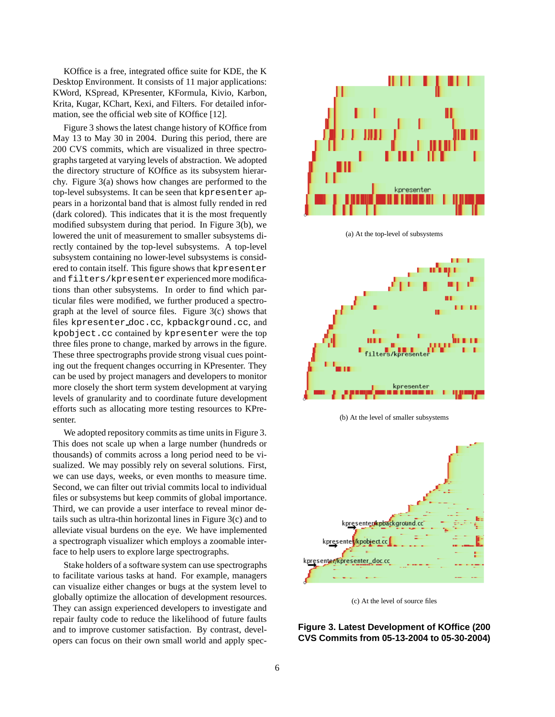KOffice is a free, integrated office suite for KDE, the K Desktop Environment. It consists of 11 major applications: KWord, KSpread, KPresenter, KFormula, Kivio, Karbon, Krita, Kugar, KChart, Kexi, and Filters. For detailed information, see the official web site of KOffice [12].

Figure 3 shows the latest change history of KOffice from May 13 to May 30 in 2004. During this period, there are 200 CVS commits, which are visualized in three spectrographs targeted at varying levels of abstraction. We adopted the directory structure of KOffice as its subsystem hierarchy. Figure 3(a) shows how changes are performed to the top-level subsystems. It can be seen that kpresenter appears in a horizontal band that is almost fully rended in red (dark colored). This indicates that it is the most frequently modified subsystem during that period. In Figure 3(b), we lowered the unit of measurement to smaller subsystems directly contained by the top-level subsystems. A top-level subsystem containing no lower-level subsystems is considered to contain itself. This figure shows that kpresenter and filters/kpresenterexperienced more modifications than other subsystems. In order to find which particular files were modified, we further produced a spectrograph at the level of source files. Figure 3(c) shows that files kpresenter doc.cc, kpbackground.cc, and kpobject.cc contained by kpresenter were the top three files prone to change, marked by arrows in the figure. These three spectrographs provide strong visual cues pointing out the frequent changes occurring in KPresenter. They can be used by project managers and developers to monitor more closely the short term system development at varying levels of granularity and to coordinate future development efforts such as allocating more testing resources to KPresenter.

We adopted repository commits as time units in Figure 3. This does not scale up when a large number (hundreds or thousands) of commits across a long period need to be visualized. We may possibly rely on several solutions. First, we can use days, weeks, or even months to measure time. Second, we can filter out trivial commits local to individual files or subsystems but keep commits of global importance. Third, we can provide a user interface to reveal minor details such as ultra-thin horizontal lines in Figure 3(c) and to alleviate visual burdens on the eye. We have implemented a spectrograph visualizer which employs a zoomable interface to help users to explore large spectrographs.

Stake holders of a software system can use spectrographs to facilitate various tasks at hand. For example, managers can visualize either changes or bugs at the system level to globally optimize the allocation of development resources. They can assign experienced developers to investigate and repair faulty code to reduce the likelihood of future faults and to improve customer satisfaction. By contrast, developers can focus on their own small world and apply spec-



(a) At the top-level of subsystems



(b) At the level of smaller subsystems



(c) At the level of source files

**Figure 3. Latest Development of KOffice (200 CVS Commits from 05-13-2004 to 05-30-2004)**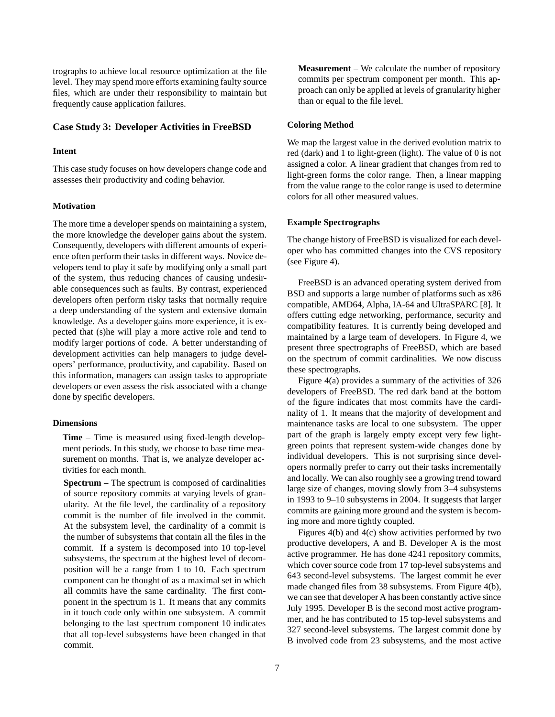trographs to achieve local resource optimization at the file level. They may spend more efforts examining faulty source files, which are under their responsibility to maintain but frequently cause application failures.

### **Case Study 3: Developer Activities in FreeBSD**

#### **Intent**

This case study focuses on how developers change code and assesses their productivity and coding behavior.

#### **Motivation**

The more time a developer spends on maintaining a system, the more knowledge the developer gains about the system. Consequently, developers with different amounts of experience often perform their tasks in different ways. Novice developers tend to play it safe by modifying only a small part of the system, thus reducing chances of causing undesirable consequences such as faults. By contrast, experienced developers often perform risky tasks that normally require a deep understanding of the system and extensive domain knowledge. As a developer gains more experience, it is expected that (s)he will play a more active role and tend to modify larger portions of code. A better understanding of development activities can help managers to judge developers' performance, productivity, and capability. Based on this information, managers can assign tasks to appropriate developers or even assess the risk associated with a change done by specific developers.

### **Dimensions**

**Time** – Time is measured using fixed-length development periods. In this study, we choose to base time measurement on months. That is, we analyze developer activities for each month.

**Spectrum** – The spectrum is composed of cardinalities of source repository commits at varying levels of granularity. At the file level, the cardinality of a repository commit is the number of file involved in the commit. At the subsystem level, the cardinality of a commit is the number of subsystems that contain all the files in the commit. If a system is decomposed into 10 top-level subsystems, the spectrum at the highest level of decomposition will be a range from 1 to 10. Each spectrum component can be thought of as a maximal set in which all commits have the same cardinality. The first component in the spectrum is 1. It means that any commits in it touch code only within one subsystem. A commit belonging to the last spectrum component 10 indicates that all top-level subsystems have been changed in that commit.

**Measurement** – We calculate the number of repository commits per spectrum component per month. This approach can only be applied at levels of granularity higher than or equal to the file level.

### **Coloring Method**

We map the largest value in the derived evolution matrix to red (dark) and 1 to light-green (light). The value of 0 is not assigned a color. A linear gradient that changes from red to light-green forms the color range. Then, a linear mapping from the value range to the color range is used to determine colors for all other measured values.

### **Example Spectrographs**

The change history of FreeBSD is visualized for each developer who has committed changes into the CVS repository (see Figure 4).

FreeBSD is an advanced operating system derived from BSD and supports a large number of platforms such as x86 compatible, AMD64, Alpha, IA-64 and UltraSPARC [8]. It offers cutting edge networking, performance, security and compatibility features. It is currently being developed and maintained by a large team of developers. In Figure 4, we present three spectrographs of FreeBSD, which are based on the spectrum of commit cardinalities. We now discuss these spectrographs.

Figure 4(a) provides a summary of the activities of 326 developers of FreeBSD. The red dark band at the bottom of the figure indicates that most commits have the cardinality of 1. It means that the majority of development and maintenance tasks are local to one subsystem. The upper part of the graph is largely empty except very few lightgreen points that represent system-wide changes done by individual developers. This is not surprising since developers normally prefer to carry out their tasks incrementally and locally. We can also roughly see a growing trend toward large size of changes, moving slowly from 3–4 subsystems in 1993 to 9–10 subsystems in 2004. It suggests that larger commits are gaining more ground and the system is becoming more and more tightly coupled.

Figures 4(b) and 4(c) show activities performed by two productive developers, A and B. Developer A is the most active programmer. He has done 4241 repository commits, which cover source code from 17 top-level subsystems and 643 second-level subsystems. The largest commit he ever made changed files from 38 subsystems. From Figure 4(b), we can see that developer A has been constantly active since July 1995. Developer B is the second most active programmer, and he has contributed to 15 top-level subsystems and 327 second-level subsystems. The largest commit done by B involved code from 23 subsystems, and the most active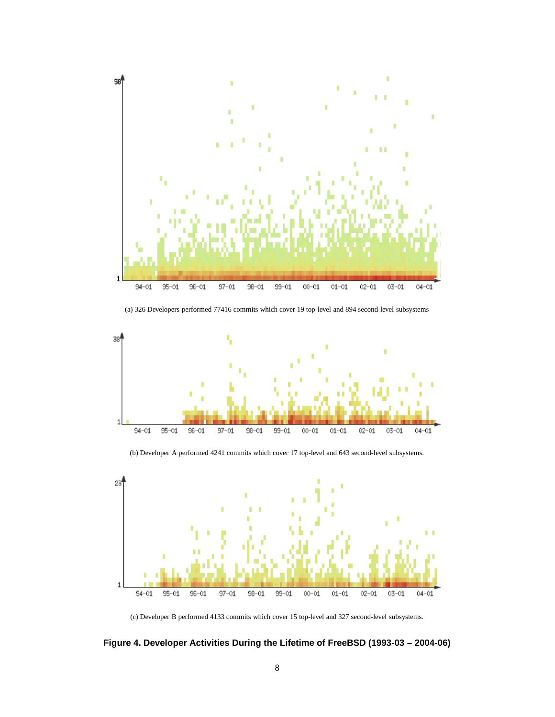

(a) 326 Developers performed 77416 commits which cover 19 top-level and 894 second-level subsystems



(b) Developer A performed 4241 commits which cover 17 top-level and 643 second-level subsystems.



(c) Developer B performed 4133 commits which cover 15 top-level and 327 second-level subsystems.

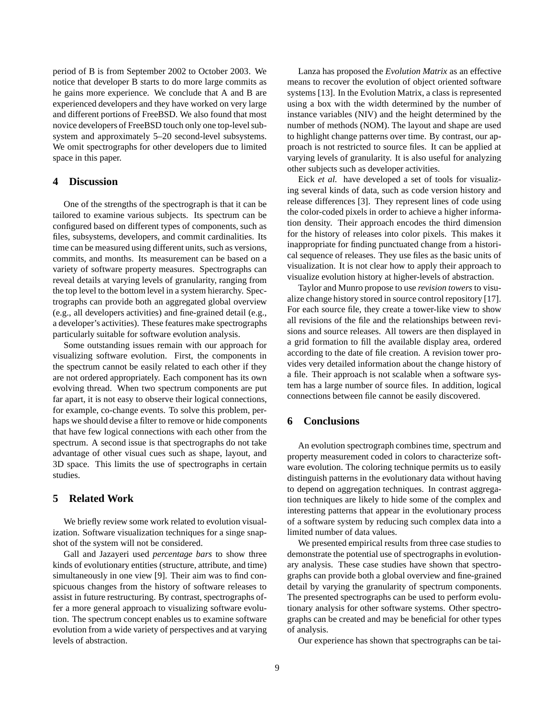period of B is from September 2002 to October 2003. We notice that developer B starts to do more large commits as he gains more experience. We conclude that A and B are experienced developers and they have worked on very large and different portions of FreeBSD. We also found that most novice developers of FreeBSD touch only one top-level subsystem and approximately 5–20 second-level subsystems. We omit spectrographs for other developers due to limited space in this paper.

# **4 Discussion**

One of the strengths of the spectrograph is that it can be tailored to examine various subjects. Its spectrum can be configured based on different types of components, such as files, subsystems, developers, and commit cardinalities. Its time can be measured using different units, such as versions, commits, and months. Its measurement can be based on a variety of software property measures. Spectrographs can reveal details at varying levels of granularity, ranging from the top level to the bottom level in a system hierarchy. Spectrographs can provide both an aggregated global overview (e.g., all developers activities) and fine-grained detail (e.g., a developer's activities). These features make spectrographs particularly suitable for software evolution analysis.

Some outstanding issues remain with our approach for visualizing software evolution. First, the components in the spectrum cannot be easily related to each other if they are not ordered appropriately. Each component has its own evolving thread. When two spectrum components are put far apart, it is not easy to observe their logical connections, for example, co-change events. To solve this problem, perhaps we should devise a filter to remove or hide components that have few logical connections with each other from the spectrum. A second issue is that spectrographs do not take advantage of other visual cues such as shape, layout, and 3D space. This limits the use of spectrographs in certain studies.

# **5 Related Work**

We briefly review some work related to evolution visualization. Software visualization techniques for a singe snapshot of the system will not be considered.

Gall and Jazayeri used *percentage bars* to show three kinds of evolutionary entities (structure, attribute, and time) simultaneously in one view [9]. Their aim was to find conspicuous changes from the history of software releases to assist in future restructuring. By contrast, spectrographs offer a more general approach to visualizing software evolution. The spectrum concept enables us to examine software evolution from a wide variety of perspectives and at varying levels of abstraction.

Lanza has proposed the *Evolution Matrix* as an effective means to recover the evolution of object oriented software systems [13]. In the Evolution Matrix, a class is represented using a box with the width determined by the number of instance variables (NIV) and the height determined by the number of methods (NOM). The layout and shape are used to highlight change patterns over time. By contrast, our approach is not restricted to source files. It can be applied at varying levels of granularity. It is also useful for analyzing other subjects such as developer activities.

Eick *et al.* have developed a set of tools for visualizing several kinds of data, such as code version history and release differences [3]. They represent lines of code using the color-coded pixels in order to achieve a higher information density. Their approach encodes the third dimension for the history of releases into color pixels. This makes it inappropriate for finding punctuated change from a historical sequence of releases. They use files as the basic units of visualization. It is not clear how to apply their approach to visualize evolution history at higher-levels of abstraction.

Taylor and Munro propose to use *revision towers* to visualize change history stored in source control repository [17]. For each source file, they create a tower-like view to show all revisions of the file and the relationships between revisions and source releases. All towers are then displayed in a grid formation to fill the available display area, ordered according to the date of file creation. A revision tower provides very detailed information about the change history of a file. Their approach is not scalable when a software system has a large number of source files. In addition, logical connections between file cannot be easily discovered.

### **6 Conclusions**

An evolution spectrograph combines time, spectrum and property measurement coded in colors to characterize software evolution. The coloring technique permits us to easily distinguish patterns in the evolutionary data without having to depend on aggregation techniques. In contrast aggregation techniques are likely to hide some of the complex and interesting patterns that appear in the evolutionary process of a software system by reducing such complex data into a limited number of data values.

We presented empirical results from three case studies to demonstrate the potential use of spectrographs in evolutionary analysis. These case studies have shown that spectrographs can provide both a global overview and fine-grained detail by varying the granularity of spectrum components. The presented spectrographs can be used to perform evolutionary analysis for other software systems. Other spectrographs can be created and may be beneficial for other types of analysis.

Our experience has shown that spectrographs can be tai-